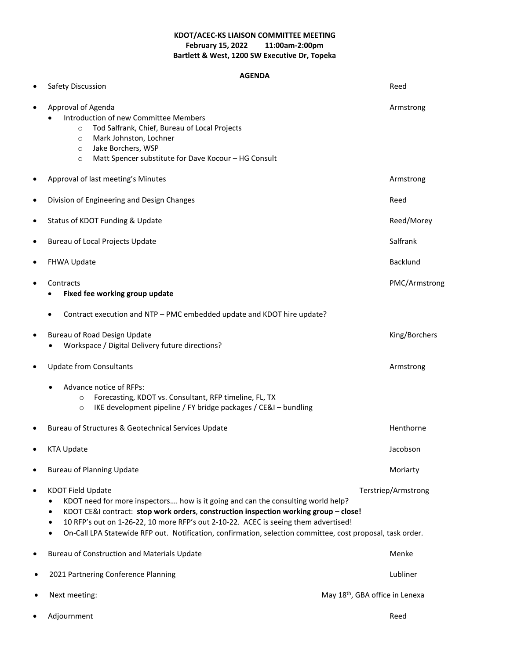### **KDOT/ACEC-KS LIAISON COMMITTEE MEETING February 15, 2022 Bartlett & West, 1200 SW Executive Dr, Topeka**

#### **AGENDA**

| $\bullet$ | Safety Discussion                                                                                                                                                                                                                                                                                                                                                                                                                                  | Reed            |
|-----------|----------------------------------------------------------------------------------------------------------------------------------------------------------------------------------------------------------------------------------------------------------------------------------------------------------------------------------------------------------------------------------------------------------------------------------------------------|-----------------|
| $\bullet$ | Approval of Agenda<br>Introduction of new Committee Members<br>Tod Salfrank, Chief, Bureau of Local Projects<br>$\circ$<br>Mark Johnston, Lochner<br>$\circ$<br>Jake Borchers, WSP<br>$\circ$<br>Matt Spencer substitute for Dave Kocour - HG Consult<br>$\circ$                                                                                                                                                                                   | Armstrong       |
| $\bullet$ | Approval of last meeting's Minutes                                                                                                                                                                                                                                                                                                                                                                                                                 | Armstrong       |
| $\bullet$ | Division of Engineering and Design Changes                                                                                                                                                                                                                                                                                                                                                                                                         | Reed            |
| $\bullet$ | Status of KDOT Funding & Update                                                                                                                                                                                                                                                                                                                                                                                                                    | Reed/Morey      |
| $\bullet$ | Bureau of Local Projects Update                                                                                                                                                                                                                                                                                                                                                                                                                    | Salfrank        |
| $\bullet$ | FHWA Update                                                                                                                                                                                                                                                                                                                                                                                                                                        | <b>Backlund</b> |
| $\bullet$ | Contracts<br>Fixed fee working group update                                                                                                                                                                                                                                                                                                                                                                                                        | PMC/Armstrong   |
|           | Contract execution and NTP - PMC embedded update and KDOT hire update?                                                                                                                                                                                                                                                                                                                                                                             |                 |
| $\bullet$ | Bureau of Road Design Update<br>Workspace / Digital Delivery future directions?                                                                                                                                                                                                                                                                                                                                                                    | King/Borchers   |
| $\bullet$ | <b>Update from Consultants</b>                                                                                                                                                                                                                                                                                                                                                                                                                     | Armstrong       |
|           | Advance notice of RFPs:<br>Forecasting, KDOT vs. Consultant, RFP timeline, FL, TX<br>$\circ$<br>IKE development pipeline / FY bridge packages / CE&I - bundling<br>$\circ$                                                                                                                                                                                                                                                                         |                 |
| $\bullet$ | Bureau of Structures & Geotechnical Services Update                                                                                                                                                                                                                                                                                                                                                                                                | Henthorne       |
| $\bullet$ | <b>KTA Update</b>                                                                                                                                                                                                                                                                                                                                                                                                                                  | Jacobson        |
|           | <b>Bureau of Planning Update</b>                                                                                                                                                                                                                                                                                                                                                                                                                   | Moriarty        |
| $\bullet$ | <b>KDOT Field Update</b><br>Terstriep/Armstrong<br>KDOT need for more inspectors how is it going and can the consulting world help?<br>KDOT CE&I contract: stop work orders, construction inspection working group - close!<br>٠<br>10 RFP's out on 1-26-22, 10 more RFP's out 2-10-22. ACEC is seeing them advertised!<br>On-Call LPA Statewide RFP out. Notification, confirmation, selection committee, cost proposal, task order.<br>$\bullet$ |                 |
| $\bullet$ | <b>Bureau of Construction and Materials Update</b>                                                                                                                                                                                                                                                                                                                                                                                                 | Menke           |
|           | 2021 Partnering Conference Planning                                                                                                                                                                                                                                                                                                                                                                                                                | Lubliner        |
|           | May 18 <sup>th</sup> , GBA office in Lenexa<br>Next meeting:                                                                                                                                                                                                                                                                                                                                                                                       |                 |
|           | Adjournment                                                                                                                                                                                                                                                                                                                                                                                                                                        | Reed            |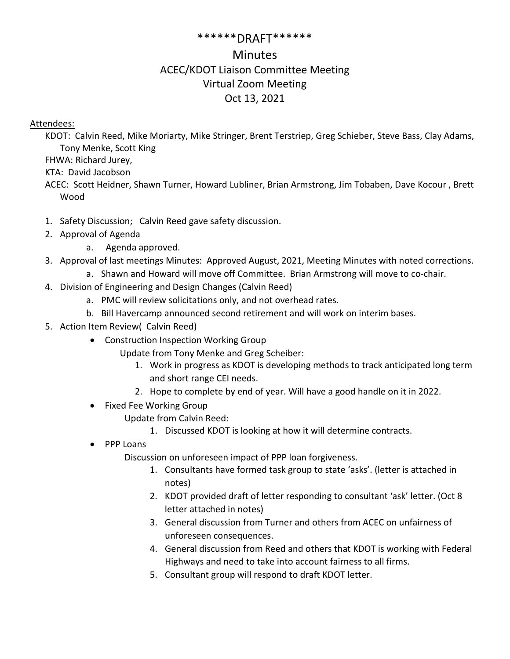### \*\*\*\*\*\*DRAFT\*\*\*\*\*\*

# **Minutes** ACEC/KDOT Liaison Committee Meeting Virtual Zoom Meeting Oct 13, 2021

## Attendees:

KDOT: Calvin Reed, Mike Moriarty, Mike Stringer, Brent Terstriep, Greg Schieber, Steve Bass, Clay Adams, Tony Menke, Scott King

FHWA: Richard Jurey,

KTA: David Jacobson

ACEC: Scott Heidner, Shawn Turner, Howard Lubliner, Brian Armstrong, Jim Tobaben, Dave Kocour , Brett Wood

- 1. Safety Discussion; Calvin Reed gave safety discussion.
- 2. Approval of Agenda
	- a. Agenda approved.
- 3. Approval of last meetings Minutes: Approved August, 2021, Meeting Minutes with noted corrections.
	- a. Shawn and Howard will move off Committee. Brian Armstrong will move to co-chair.
- 4. Division of Engineering and Design Changes (Calvin Reed)
	- a. PMC will review solicitations only, and not overhead rates.
	- b. Bill Havercamp announced second retirement and will work on interim bases.
- 5. Action Item Review( Calvin Reed)
	- Construction Inspection Working Group
		- Update from Tony Menke and Greg Scheiber:
			- 1. Work in progress as KDOT is developing methods to track anticipated long term and short range CEI needs.
			- 2. Hope to complete by end of year. Will have a good handle on it in 2022.
	- Fixed Fee Working Group
		- Update from Calvin Reed:
			- 1. Discussed KDOT is looking at how it will determine contracts.
	- PPP Loans

Discussion on unforeseen impact of PPP loan forgiveness.

- 1. Consultants have formed task group to state 'asks'. (letter is attached in notes)
- 2. KDOT provided draft of letter responding to consultant 'ask' letter. (Oct 8 letter attached in notes)
- 3. General discussion from Turner and others from ACEC on unfairness of unforeseen consequences.
- 4. General discussion from Reed and others that KDOT is working with Federal Highways and need to take into account fairness to all firms.
- 5. Consultant group will respond to draft KDOT letter.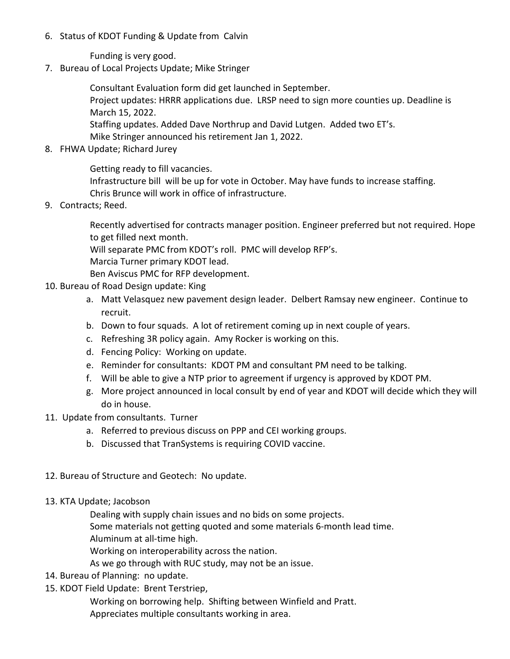6. Status of KDOT Funding & Update from Calvin

Funding is very good.

7. Bureau of Local Projects Update; Mike Stringer

Consultant Evaluation form did get launched in September.

Project updates: HRRR applications due. LRSP need to sign more counties up. Deadline is March 15, 2022.

Staffing updates. Added Dave Northrup and David Lutgen. Added two ET's. Mike Stringer announced his retirement Jan 1, 2022.

8. FHWA Update; Richard Jurey

Getting ready to fill vacancies. Infrastructure bill will be up for vote in October. May have funds to increase staffing. Chris Brunce will work in office of infrastructure.

9. Contracts; Reed.

Recently advertised for contracts manager position. Engineer preferred but not required. Hope to get filled next month.

Will separate PMC from KDOT's roll. PMC will develop RFP's.

Marcia Turner primary KDOT lead.

Ben Aviscus PMC for RFP development.

- 10. Bureau of Road Design update: King
	- a. Matt Velasquez new pavement design leader. Delbert Ramsay new engineer. Continue to recruit.
	- b. Down to four squads. A lot of retirement coming up in next couple of years.
	- c. Refreshing 3R policy again. Amy Rocker is working on this.
	- d. Fencing Policy: Working on update.
	- e. Reminder for consultants: KDOT PM and consultant PM need to be talking.
	- f. Will be able to give a NTP prior to agreement if urgency is approved by KDOT PM.
	- g. More project announced in local consult by end of year and KDOT will decide which they will do in house.
- 11. Update from consultants. Turner
	- a. Referred to previous discuss on PPP and CEI working groups.
	- b. Discussed that TranSystems is requiring COVID vaccine.
- 12. Bureau of Structure and Geotech: No update.
- 13. KTA Update; Jacobson

Dealing with supply chain issues and no bids on some projects.

Some materials not getting quoted and some materials 6-month lead time.

Aluminum at all-time high.

Working on interoperability across the nation.

As we go through with RUC study, may not be an issue.

- 14. Bureau of Planning: no update.
- 15. KDOT Field Update: Brent Terstriep,

Working on borrowing help. Shifting between Winfield and Pratt.

Appreciates multiple consultants working in area.